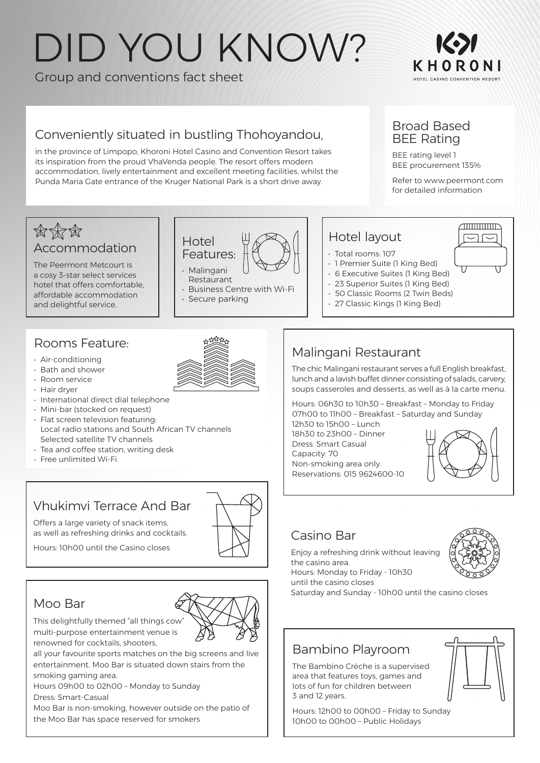# DID YOU KNOW?

Group and conventions fact sheet



### Conveniently situated in bustling Thohoyandou,

in the province of Limpopo, Khoroni Hotel Casino and Convention Resort takes its inspiration from the proud VhaVenda people. The resort offers modern accommodation, lively entertainment and excellent meeting facilities, whilst the Punda Maria Gate entrance of the Kruger National Park is a short drive away.

> **Hotel** Features: • Malingani Restaurant

### Broad Based BEE Rating

BEE rating level 1 BEE procurement 135%

Refer to www.peermont.com for detailed information

### 的体育 Accommodation

The Peermont Metcourt is a cosy 3-star select services hotel that offers comfortable, affordable accommodation and delightful service.

### Rooms Feature:

- Air-conditioning
- Bath and shower
- Room service
- Hair dryer
- International direct dial telephone
- Mini-bar (stocked on request)
- Flat screen television featuring: Local radio stations and South African TV channels Selected satellite TV channels
- Tea and coffee station, writing desk
- Free unlimited Wi-Fi.

# Vhukimvi Terrace And Bar

Offers a large variety of snack items, as well as refreshing drinks and cocktails.

Hours: 10h00 until the Casino closes

### Moo Bar

This delightfully themed "all things cow" multi-purpose entertainment venue is renowned for cocktails, shooters,

all your favourite sports matches on the big screens and live entertainment. Moo Bar is situated down stairs from the smoking gaming area.

Hours 09h00 to 02h00 – Monday to Sunday Dress: Smart-Casual

Moo Bar is non-smoking, however outside on the patio of the Moo Bar has space reserved for smokers

• Secure parking

• Business Centre with Wi-Fi

Malingani Restaurant

The chic Malingani restaurant serves a full English breakfast, lunch and a lavish buffet dinner consisting of salads, carvery, soups casseroles and desserts, as well as à la carte menu.

Hours: 06h30 to 10h30 – Breakfast – Monday to Friday 07h00 to 11h00 – Breakfast – Saturday and Sunday 12h30 to 15h00 – Lunch

18h30 to 23h00 – Dinner Dress: Smart Casual Capacity: 70 Non-smoking area only. Reservations: 015 9624600-10



### Casino Bar

Enjoy a refreshing drink without leaving the casino area. Hours: Monday to Friday - 10h30 until the casino closes



Saturday and Sunday - 10h00 until the casino closes

### Bambino Playroom

The Bambino Crèche is a supervised area that features toys, games and lots of fun for children between 3 and 12 years.



Hours: 12h00 to 00h00 – Friday to Sunday 10h00 to 00h00 – Public Holidays



ℿ





Hotel layout

• 6 Executive Suites (1 King Bed) • 23 Superior Suites (1 King Bed) • 50 Classic Rooms (2 Twin Beds) • 27 Classic Kings (1 King Bed)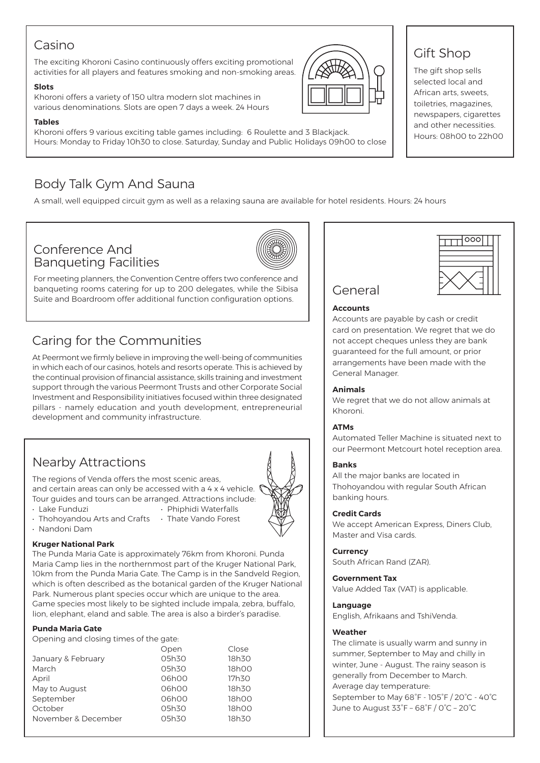### Casino

The exciting Khoroni Casino continuously offers exciting promotional activities for all players and features smoking and non-smoking areas.

#### **Slots**

Khoroni offers a variety of 150 ultra modern slot machines in various denominations. Slots are open 7 days a week. 24 Hours

#### **Tables**

Khoroni offers 9 various exciting table games including: 6 Roulette and 3 Blackjack. Hours: Monday to Friday 10h30 to close. Saturday, Sunday and Public Holidays 09h00 to close

### Body Talk Gym And Sauna

A small, well equipped circuit gym as well as a relaxing sauna are available for hotel residents. Hours: 24 hours

### Conference And Banqueting Facilities



For meeting planners, the Convention Centre offers two conference and banqueting rooms catering for up to 200 delegates, while the Sibisa Suite and Boardroom offer additional function configuration options.

### Caring for the Communities

At Peermont we firmly believe in improving the well-being of communities in which each of our casinos, hotels and resorts operate. This is achieved by the continual provision of financial assistance, skills training and investment support through the various Peermont Trusts and other Corporate Social Investment and Responsibility initiatives focused within three designated pillars - namely education and youth development, entrepreneurial development and community infrastructure.

## Nearby Attractions

The regions of Venda offers the most scenic areas, and certain areas can only be accessed with a 4 x 4 vehicle.  $\bigcap$ Tour guides and tours can be arranged. Attractions include:

- Lake Funduzi Phiphidi Waterfalls
- 
- Thohoyandou Arts and Crafts Thate Vando Forest
- Nandoni Dam

#### **Kruger National Park**

The Punda Maria Gate is approximately 76km from Khoroni. Punda Maria Camp lies in the northernmost part of the Kruger National Park, 10km from the Punda Maria Gate. The Camp is in the Sandveld Region, which is often described as the botanical garden of the Kruger National Park. Numerous plant species occur which are unique to the area. Game species most likely to be sighted include impala, zebra, buffalo, lion, elephant, eland and sable. The area is also a birder's paradise.

#### **Punda Maria Gate**

Opening and closing times of the gate:

|                     | Open  | Close |
|---------------------|-------|-------|
| January & February  | 05h30 | 18h30 |
| March               | 05h30 | 18h00 |
| April               | 06h00 | 17h30 |
| May to August       | 06h00 | 18h30 |
| September           | 06h00 | 18h00 |
| October             | 05h30 | 18h00 |
| November & December | 05h30 | 18h30 |
|                     |       |       |



### Gift Shop

The gift shop sells selected local and African arts, sweets, toiletries, magazines, newspapers, cigarettes and other necessities. Hours: 08h00 to 22h00



### General

#### **Accounts**

Accounts are payable by cash or credit card on presentation. We regret that we do not accept cheques unless they are bank guaranteed for the full amount, or prior arrangements have been made with the General Manager.

#### **Animals**

We regret that we do not allow animals at Khoroni.

#### **ATMs**

Automated Teller Machine is situated next to our Peermont Metcourt hotel reception area.

#### **Banks**

All the major banks are located in Thohoyandou with regular South African banking hours.

#### **Credit Cards**

We accept American Express, Diners Club, Master and Visa cards.

#### **Currency**

South African Rand (ZAR).

#### **Government Tax**

Value Added Tax (VAT) is applicable.

#### **Language**

English, Afrikaans and TshiVenda.

#### **Weather**

The climate is usually warm and sunny in summer, September to May and chilly in winter, June - August. The rainy season is generally from December to March. Average day temperature: September to May 68°F - 105°F / 20°C - 40°C June to August 33°F – 68°F / 0°C – 20°C